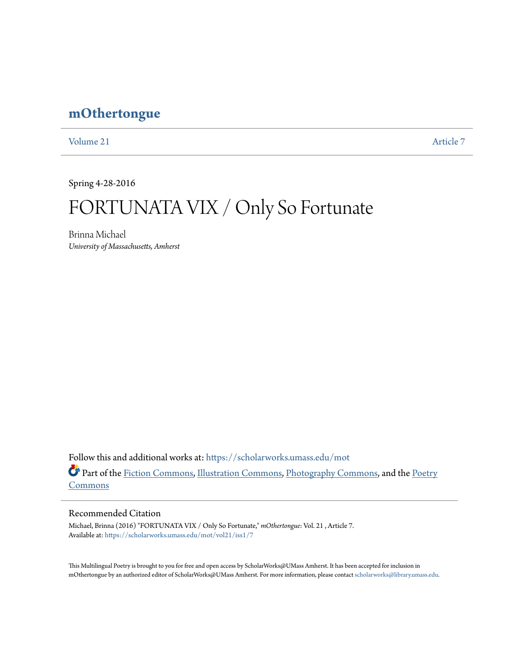## **[mOthertongue](https://scholarworks.umass.edu/mot?utm_source=scholarworks.umass.edu%2Fmot%2Fvol21%2Fiss1%2F7&utm_medium=PDF&utm_campaign=PDFCoverPages)**

[Volume 21](https://scholarworks.umass.edu/mot/vol21?utm_source=scholarworks.umass.edu%2Fmot%2Fvol21%2Fiss1%2F7&utm_medium=PDF&utm_campaign=PDFCoverPages) [Article 7](https://scholarworks.umass.edu/mot/vol21/iss1/7?utm_source=scholarworks.umass.edu%2Fmot%2Fvol21%2Fiss1%2F7&utm_medium=PDF&utm_campaign=PDFCoverPages)

Spring 4-28-2016

# FORTUNATA VIX / Only So Fortunate

Brinna Michael *University of Massachusetts, Amherst*

Follow this and additional works at: [https://scholarworks.umass.edu/mot](https://scholarworks.umass.edu/mot?utm_source=scholarworks.umass.edu%2Fmot%2Fvol21%2Fiss1%2F7&utm_medium=PDF&utm_campaign=PDFCoverPages) Part of the [Fiction Commons](http://network.bepress.com/hgg/discipline/1151?utm_source=scholarworks.umass.edu%2Fmot%2Fvol21%2Fiss1%2F7&utm_medium=PDF&utm_campaign=PDFCoverPages), [Illustration Commons,](http://network.bepress.com/hgg/discipline/1135?utm_source=scholarworks.umass.edu%2Fmot%2Fvol21%2Fiss1%2F7&utm_medium=PDF&utm_campaign=PDFCoverPages) [Photography Commons,](http://network.bepress.com/hgg/discipline/1142?utm_source=scholarworks.umass.edu%2Fmot%2Fvol21%2Fiss1%2F7&utm_medium=PDF&utm_campaign=PDFCoverPages) and the [Poetry](http://network.bepress.com/hgg/discipline/1153?utm_source=scholarworks.umass.edu%2Fmot%2Fvol21%2Fiss1%2F7&utm_medium=PDF&utm_campaign=PDFCoverPages) [Commons](http://network.bepress.com/hgg/discipline/1153?utm_source=scholarworks.umass.edu%2Fmot%2Fvol21%2Fiss1%2F7&utm_medium=PDF&utm_campaign=PDFCoverPages)

### Recommended Citation

Michael, Brinna (2016) "FORTUNATA VIX / Only So Fortunate," *mOthertongue*: Vol. 21 , Article 7. Available at: [https://scholarworks.umass.edu/mot/vol21/iss1/7](https://scholarworks.umass.edu/mot/vol21/iss1/7?utm_source=scholarworks.umass.edu%2Fmot%2Fvol21%2Fiss1%2F7&utm_medium=PDF&utm_campaign=PDFCoverPages)

This Multilingual Poetry is brought to you for free and open access by ScholarWorks@UMass Amherst. It has been accepted for inclusion in mOthertongue by an authorized editor of ScholarWorks@UMass Amherst. For more information, please contact [scholarworks@library.umass.edu](mailto:scholarworks@library.umass.edu).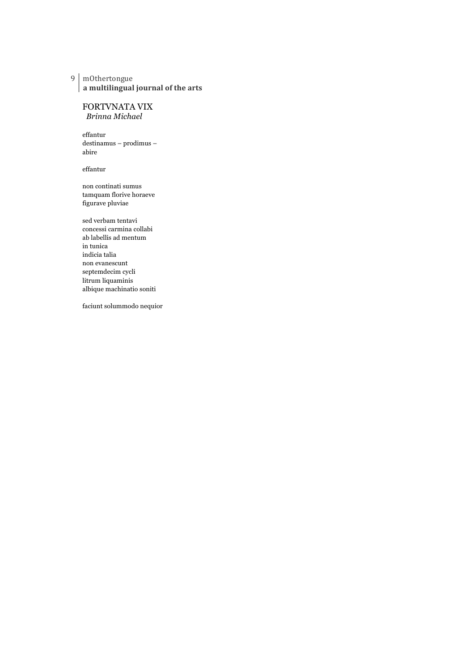#### 9 mOthertongue a multilingual journal of the arts

## FORTVNATA VIX

*Brinna Michael*

effantur destinamus – prodimus – abire

effantur

non continati sumus tamquam florive horaeve figurave pluviae

sed verbam tentavi concessi carmina collabi ab labellis ad mentum in tunica indicia talia non evanescunt septemdecim cycli litrum liquaminis albique machinatio soniti

faciunt solummodo nequior